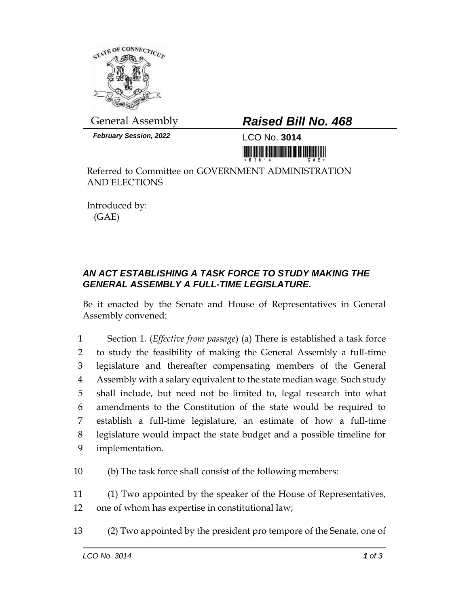

*February Session, 2022* LCO No. **3014**

## General Assembly *Raised Bill No. 468*

<u>Tim tint in tint in the new means the mit</u>

Referred to Committee on GOVERNMENT ADMINISTRATION AND ELECTIONS

Introduced by: (GAE)

## *AN ACT ESTABLISHING A TASK FORCE TO STUDY MAKING THE GENERAL ASSEMBLY A FULL-TIME LEGISLATURE.*

Be it enacted by the Senate and House of Representatives in General Assembly convened:

 Section 1. (*Effective from passage*) (a) There is established a task force to study the feasibility of making the General Assembly a full-time legislature and thereafter compensating members of the General Assembly with a salary equivalent to the state median wage. Such study shall include, but need not be limited to, legal research into what amendments to the Constitution of the state would be required to establish a full-time legislature, an estimate of how a full-time legislature would impact the state budget and a possible timeline for implementation.

10 (b) The task force shall consist of the following members:

11 (1) Two appointed by the speaker of the House of Representatives, 12 one of whom has expertise in constitutional law;

13 (2) Two appointed by the president pro tempore of the Senate, one of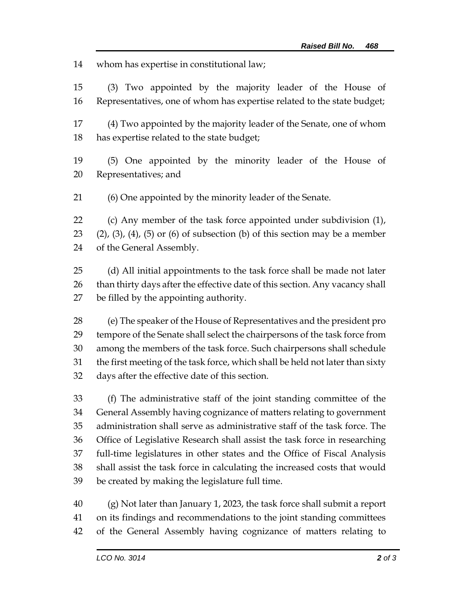whom has expertise in constitutional law;

 (3) Two appointed by the majority leader of the House of Representatives, one of whom has expertise related to the state budget;

 (4) Two appointed by the majority leader of the Senate, one of whom has expertise related to the state budget;

 (5) One appointed by the minority leader of the House of Representatives; and

(6) One appointed by the minority leader of the Senate.

 (c) Any member of the task force appointed under subdivision (1), (2), (3), (4), (5) or (6) of subsection (b) of this section may be a member of the General Assembly.

 (d) All initial appointments to the task force shall be made not later 26 than thirty days after the effective date of this section. Any vacancy shall be filled by the appointing authority.

 (e) The speaker of the House of Representatives and the president pro tempore of the Senate shall select the chairpersons of the task force from among the members of the task force. Such chairpersons shall schedule the first meeting of the task force, which shall be held not later than sixty days after the effective date of this section.

 (f) The administrative staff of the joint standing committee of the General Assembly having cognizance of matters relating to government administration shall serve as administrative staff of the task force. The Office of Legislative Research shall assist the task force in researching full-time legislatures in other states and the Office of Fiscal Analysis shall assist the task force in calculating the increased costs that would be created by making the legislature full time.

 (g) Not later than January 1, 2023, the task force shall submit a report on its findings and recommendations to the joint standing committees of the General Assembly having cognizance of matters relating to